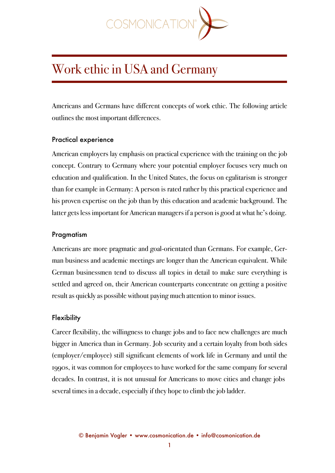

# Work ethic in USA and Germany

Americans and Germans have different concepts of work ethic. The following article outlines the most important differences.

## Practical experience

American employers lay emphasis on practical experience with the training on the job concept. Contrary to Germany where your potential employer focuses very much on education and qualification. In the United States, the focus on egalitarism is stronger than for example in Germany: A person is rated rather by this practical experience and his proven expertise on the job than by this education and academic background. The latter gets less important for American managers if a person is good at what he's doing.

## Pragmatism

Americans are more pragmatic and goal-orientated than Germans. For example, German business and academic meetings are longer than the American equivalent. While German businessmen tend to discuss all topics in detail to make sure everything is settled and agreed on, their American counterparts concentrate on getting a positive result as quickly as possible without paying much attention to minor issues.

# **Flexibility**

Career flexibility, the willingness to change jobs and to face new challenges are much bigger in America than in Germany. Job security and a certain loyalty from both sides (employer/employee) still significant elements of work life in Germany and until the 1990s, it was common for employees to have worked for the same company for several decades. In contrast, it is not unusual for Americans to move cities and change jobs several times in a decade, especially if they hope to climb the job ladder.